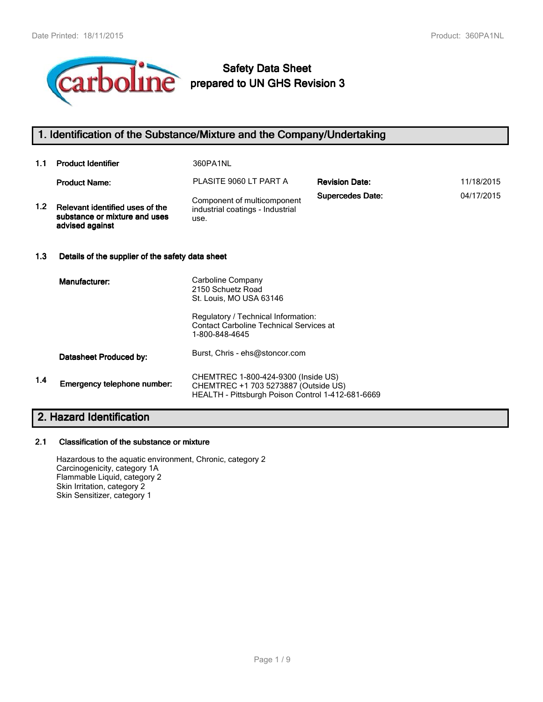

# **Safety Data Sheet prepared to UN GHS Revision 3**

# **1. Identification of the Substance/Mixture and the Company/Undertaking**

| 1.1 | <b>Product Identifier</b>                                                           | 360PA1NL                                                                |                         |            |
|-----|-------------------------------------------------------------------------------------|-------------------------------------------------------------------------|-------------------------|------------|
|     | <b>Product Name:</b>                                                                | PLASITE 9060 LT PART A                                                  | <b>Revision Date:</b>   | 11/18/2015 |
| 1.2 | Relevant identified uses of the<br>substance or mixture and uses<br>advised against | Component of multicomponent<br>industrial coatings - Industrial<br>use. | <b>Supercedes Date:</b> | 04/17/2015 |
| 1.3 | Details of the supplier of the safety data sheet                                    |                                                                         |                         |            |
|     | Manufacturer:                                                                       | Carboline Company                                                       |                         |            |

|     | 17191141844161.             | 2150 Schuetz Road<br>St. Louis, MO USA 63146                                                                                     |
|-----|-----------------------------|----------------------------------------------------------------------------------------------------------------------------------|
|     |                             | Regulatory / Technical Information:<br><b>Contact Carboline Technical Services at</b><br>1-800-848-4645                          |
|     | Datasheet Produced by:      | Burst, Chris - ehs@stoncor.com                                                                                                   |
| 1.4 | Emergency telephone number: | CHEMTREC 1-800-424-9300 (Inside US)<br>CHEMTREC +1 703 5273887 (Outside US)<br>HEALTH - Pittsburgh Poison Control 1-412-681-6669 |

# **2. Hazard Identification**

#### **2.1 Classification of the substance or mixture**

Hazardous to the aquatic environment, Chronic, category 2 Carcinogenicity, category 1A Flammable Liquid, category 2 Skin Irritation, category 2 Skin Sensitizer, category 1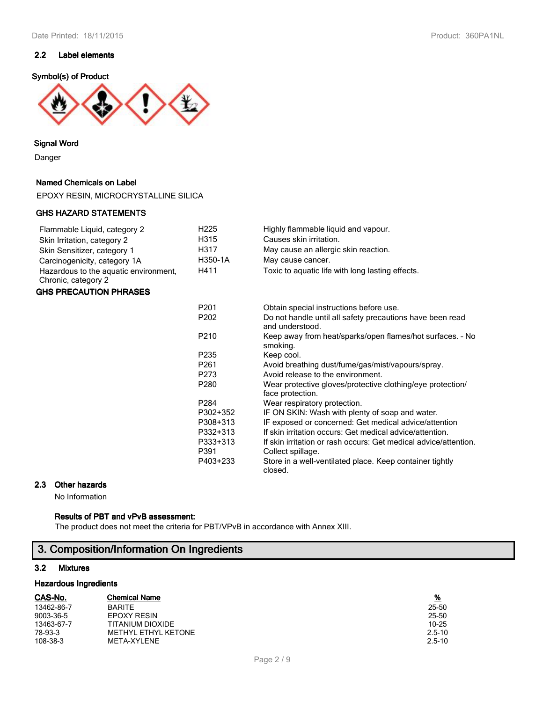## **2.2 Label elements**

#### **Symbol(s) of Product**



#### **Signal Word**

Danger

## **Named Chemicals on Label**

EPOXY RESIN, MICROCRYSTALLINE SILICA

#### **GHS HAZARD STATEMENTS**

## Flammable Liquid, category 2 **H225** Highly flammable liquid and vapour.<br>Skin Irritation, category 2 **H315** Causes skin irritation. Skin Irritation, category 2 Skin Sensitizer, category 1 **H317** May cause an allergic skin reaction. Carcinogenicity, category 1A **H350-1A** May cause cancer. Hazardous to the aquatic environment, H411 Toxic to aquatic life with long lasting effects. Chronic, category 2

### **GHS PRECAUTION PHRASES**

| P <sub>201</sub>  | Obtain special instructions before use.                                        |
|-------------------|--------------------------------------------------------------------------------|
| P <sub>202</sub>  | Do not handle until all safety precautions have been read<br>and understood.   |
| P <sub>210</sub>  | Keep away from heat/sparks/open flames/hot surfaces. - No<br>smoking.          |
| P <sub>2</sub> 35 | Keep cool.                                                                     |
| P261              | Avoid breathing dust/fume/gas/mist/vapours/spray.                              |
| P273              | Avoid release to the environment.                                              |
| P <sub>280</sub>  | Wear protective gloves/protective clothing/eye protection/<br>face protection. |
| P <sub>284</sub>  | Wear respiratory protection.                                                   |
| P302+352          | IF ON SKIN: Wash with plenty of soap and water.                                |
| P308+313          | IF exposed or concerned: Get medical advice/attention                          |
| P332+313          | If skin irritation occurs: Get medical advice/attention.                       |
| P333+313          | If skin irritation or rash occurs: Get medical advice/attention.               |
| P391              | Collect spillage.                                                              |
| P403+233          | Store in a well-ventilated place. Keep container tightly<br>closed.            |

#### **2.3 Other hazards**

No Information

## **Results of PBT and vPvB assessment:**

The product does not meet the criteria for PBT/VPvB in accordance with Annex XIII.

# **3. Composition/Information On Ingredients**

#### **3.2 Mixtures**

#### **Hazardous Ingredients**

| CAS-No.    | <b>Chemical Name</b>       | $\frac{9}{6}$ |
|------------|----------------------------|---------------|
| 13462-86-7 | <b>BARITE</b>              | 25-50         |
| 9003-36-5  | <b>EPOXY RESIN</b>         | 25-50         |
| 13463-67-7 | TITANIUM DIOXIDE           | 10-25         |
| 78-93-3    | <b>METHYL ETHYL KETONE</b> | $2.5 - 10$    |
| 108-38-3   | META-XYLENE                | $2.5 - 10$    |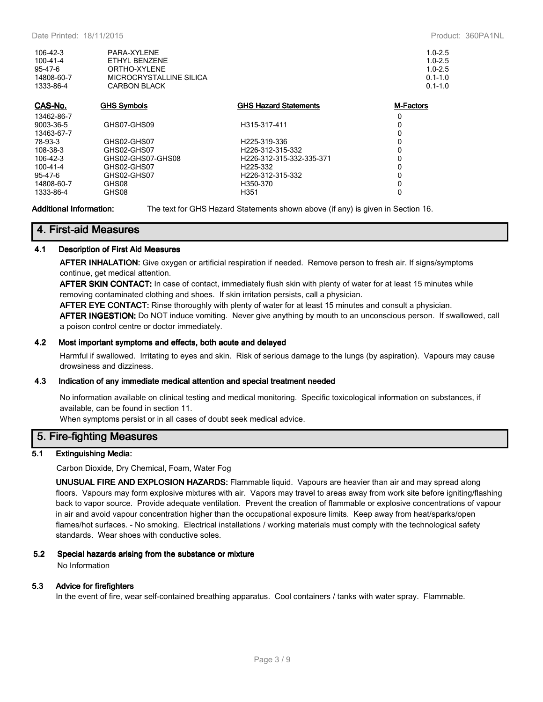| 106-42-3<br>100-41-4<br>$95 - 47 - 6$<br>14808-60-7<br>1333-86-4 | PARA-XYLENE<br>ETHYL BENZENE<br>ORTHO-XYLENE<br>MICROCRYSTALLINE SILICA<br><b>CARBON BLACK</b> |                               | $1.0 - 2.5$<br>$1.0 - 2.5$<br>$1.0 - 2.5$<br>$0.1 - 1.0$<br>$0.1 - 1.0$ |
|------------------------------------------------------------------|------------------------------------------------------------------------------------------------|-------------------------------|-------------------------------------------------------------------------|
| CAS-No.                                                          | <b>GHS Symbols</b>                                                                             | <b>GHS Hazard Statements</b>  | <b>M-Factors</b>                                                        |
| 13462-86-7                                                       |                                                                                                |                               | 0                                                                       |
| 9003-36-5                                                        | GHS07-GHS09                                                                                    | H315-317-411                  | 0                                                                       |
| 13463-67-7                                                       |                                                                                                |                               | 0                                                                       |
| 78-93-3                                                          | GHS02-GHS07                                                                                    | H225-319-336                  | 0                                                                       |
| 108-38-3                                                         | GHS02-GHS07                                                                                    | H <sub>226</sub> -312-315-332 | 0                                                                       |
| 106-42-3                                                         | GHS02-GHS07-GHS08                                                                              | H226-312-315-332-335-371      | 0                                                                       |
| $100 - 41 - 4$                                                   | GHS02-GHS07                                                                                    | H225-332                      | 0                                                                       |
| $95 - 47 - 6$                                                    | GHS02-GHS07                                                                                    | H <sub>226</sub> -312-315-332 | 0                                                                       |
| 14808-60-7                                                       | GHS08                                                                                          | H350-370                      | 0                                                                       |
| 1333-86-4                                                        | GHS08                                                                                          | H <sub>351</sub>              | 0                                                                       |

**Additional Information:** The text for GHS Hazard Statements shown above (if any) is given in Section 16.

## **4. First-aid Measures**

#### **4.1 Description of First Aid Measures**

**AFTER INHALATION:** Give oxygen or artificial respiration if needed. Remove person to fresh air. If signs/symptoms continue, get medical attention.

**AFTER SKIN CONTACT:** In case of contact, immediately flush skin with plenty of water for at least 15 minutes while removing contaminated clothing and shoes. If skin irritation persists, call a physician.

**AFTER EYE CONTACT:** Rinse thoroughly with plenty of water for at least 15 minutes and consult a physician.

**AFTER INGESTION:** Do NOT induce vomiting. Never give anything by mouth to an unconscious person. If swallowed, call a poison control centre or doctor immediately.

#### **4.2 Most important symptoms and effects, both acute and delayed**

Harmful if swallowed. Irritating to eyes and skin. Risk of serious damage to the lungs (by aspiration). Vapours may cause drowsiness and dizziness.

#### **4.3 Indication of any immediate medical attention and special treatment needed**

No information available on clinical testing and medical monitoring. Specific toxicological information on substances, if available, can be found in section 11.

When symptoms persist or in all cases of doubt seek medical advice.

## **5. Fire-fighting Measures**

#### **5.1 Extinguishing Media:**

Carbon Dioxide, Dry Chemical, Foam, Water Fog

**UNUSUAL FIRE AND EXPLOSION HAZARDS:** Flammable liquid. Vapours are heavier than air and may spread along floors. Vapours may form explosive mixtures with air. Vapors may travel to areas away from work site before igniting/flashing back to vapor source. Provide adequate ventilation. Prevent the creation of flammable or explosive concentrations of vapour in air and avoid vapour concentration higher than the occupational exposure limits. Keep away from heat/sparks/open flames/hot surfaces. - No smoking. Electrical installations / working materials must comply with the technological safety standards. Wear shoes with conductive soles.

#### **5.2 Special hazards arising from the substance or mixture**

No Information

#### **5.3 Advice for firefighters**

In the event of fire, wear self-contained breathing apparatus. Cool containers / tanks with water spray. Flammable.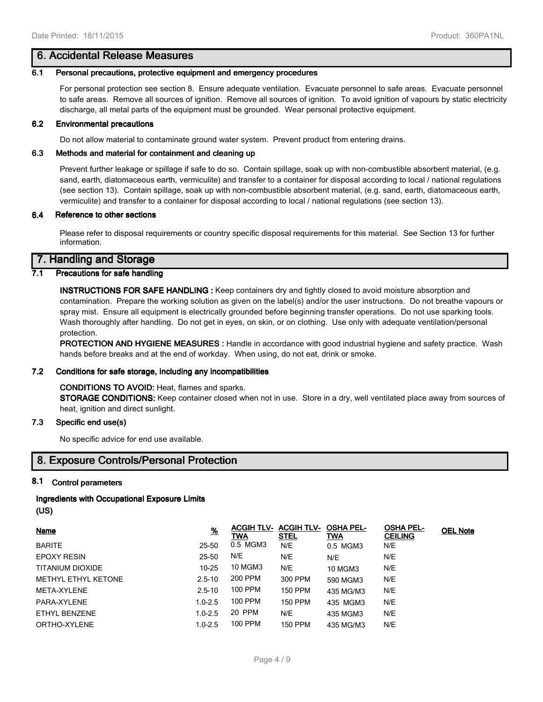## **6. Accidental Release Measures**

#### **6.1 Personal precautions, protective equipment and emergency procedures**

For personal protection see section 8. Ensure adequate ventilation. Evacuate personnel to safe areas. Evacuate personnel to safe areas. Remove all sources of ignition. Remove all sources of ignition. To avoid ignition of vapours by static electricity discharge, all metal parts of the equipment must be grounded. Wear personal protective equipment.

#### **6.2 Environmental precautions**

Do not allow material to contaminate ground water system. Prevent product from entering drains.

#### **6.3 Methods and material for containment and cleaning up**

Prevent further leakage or spillage if safe to do so. Contain spillage, soak up with non-combustible absorbent material, (e.g. sand, earth, diatomaceous earth, vermiculite) and transfer to a container for disposal according to local / national regulations (see section 13). Contain spillage, soak up with non-combustible absorbent material, (e.g. sand, earth, diatomaceous earth, vermiculite) and transfer to a container for disposal according to local / national regulations (see section 13).

#### **6.4 Reference to other sections**

Please refer to disposal requirements or country specific disposal requirements for this material. See Section 13 for further information.

## **7. Handling and Storage**

## **7.1 Precautions for safe handling**

**INSTRUCTIONS FOR SAFE HANDLING :** Keep containers dry and tightly closed to avoid moisture absorption and contamination. Prepare the working solution as given on the label(s) and/or the user instructions. Do not breathe vapours or spray mist. Ensure all equipment is electrically grounded before beginning transfer operations. Do not use sparking tools. Wash thoroughly after handling. Do not get in eyes, on skin, or on clothing. Use only with adequate ventilation/personal protection.

**PROTECTION AND HYGIENE MEASURES :** Handle in accordance with good industrial hygiene and safety practice. Wash hands before breaks and at the end of workday. When using, do not eat, drink or smoke.

#### **7.2 Conditions for safe storage, including any incompatibilities**

#### **CONDITIONS TO AVOID:** Heat, flames and sparks.

**STORAGE CONDITIONS:** Keep container closed when not in use. Store in a dry, well ventilated place away from sources of heat, ignition and direct sunlight.

#### **7.3 Specific end use(s)**

No specific advice for end use available.

# **8. Exposure Controls/Personal Protection**

#### **8.1 Control parameters**

#### **Ingredients with Occupational Exposure Limits**

```
(US)
```

| Name                       | <u>%</u>    | <b>ACGIH TLV- ACGIH TLV-</b><br>TWA | <u>STEL</u>    | <b>OSHA PEL-</b><br>TWA | <b>OSHA PEL-</b><br><b>CEILING</b> | <b>OEL Note</b> |
|----------------------------|-------------|-------------------------------------|----------------|-------------------------|------------------------------------|-----------------|
| <b>BARITE</b>              | 25-50       | 0.5 MGM3                            | N/E            | 0.5 MGM3                | N/E                                |                 |
| <b>EPOXY RESIN</b>         | 25-50       | N/E                                 | N/E            | N/E                     | N/E                                |                 |
| TITANIUM DIOXIDE           | $10 - 25$   | <b>10 MGM3</b>                      | N/E            | <b>10 MGM3</b>          | N/E                                |                 |
| <b>METHYL ETHYL KETONE</b> | $2.5 - 10$  | 200 PPM                             | 300 PPM        | 590 MGM3                | N/E                                |                 |
| META-XYLENE                | $2.5 - 10$  | 100 PPM                             | 150 PPM        | 435 MG/M3               | N/E                                |                 |
| PARA-XYLENE                | $1.0 - 2.5$ | 100 PPM                             | 150 PPM        | 435 MGM3                | N/E                                |                 |
| ETHYL BENZENE              | $1.0 - 2.5$ | 20 PPM                              | N/E            | 435 MGM3                | N/E                                |                 |
| ORTHO-XYLENE               | $1.0 - 2.5$ | 100 PPM                             | <b>150 PPM</b> | 435 MG/M3               | N/E                                |                 |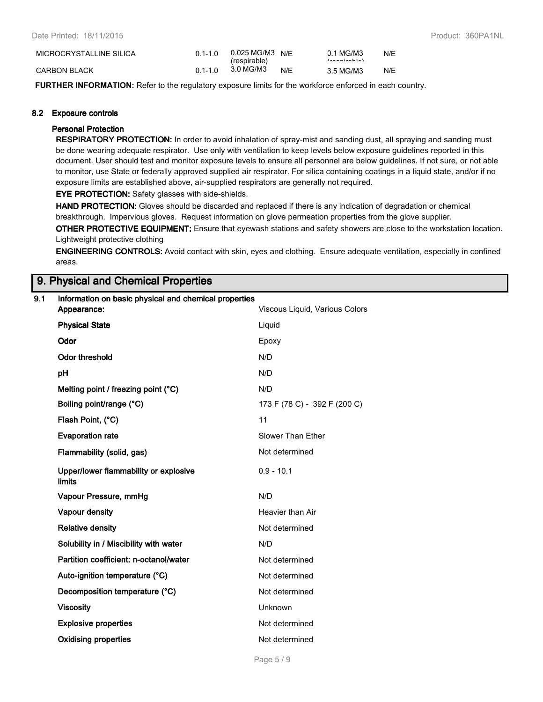| MICROCRYSTALLINE SILICA | $01 - 10$   | 0.025 MG/M3 N/F<br>(respirable) |     | 0.1 MG/M3<br>(constant) | N/E |
|-------------------------|-------------|---------------------------------|-----|-------------------------|-----|
| CARBON BLACK            | $0.1 - 1.0$ | 3.0 MG/M3                       | N/E | 3.5 MG/M3               | N/E |

**FURTHER INFORMATION:** Refer to the regulatory exposure limits for the workforce enforced in each country.

#### **8.2 Exposure controls**

#### **Personal Protection**

**RESPIRATORY PROTECTION:** In order to avoid inhalation of spray-mist and sanding dust, all spraying and sanding must be done wearing adequate respirator. Use only with ventilation to keep levels below exposure guidelines reported in this document. User should test and monitor exposure levels to ensure all personnel are below guidelines. If not sure, or not able to monitor, use State or federally approved supplied air respirator. For silica containing coatings in a liquid state, and/or if no exposure limits are established above, air-supplied respirators are generally not required.

**EYE PROTECTION:** Safety glasses with side-shields.

**HAND PROTECTION:** Gloves should be discarded and replaced if there is any indication of degradation or chemical breakthrough. Impervious gloves. Request information on glove permeation properties from the glove supplier.

**OTHER PROTECTIVE EQUIPMENT:** Ensure that eyewash stations and safety showers are close to the workstation location. Lightweight protective clothing

**ENGINEERING CONTROLS:** Avoid contact with skin, eyes and clothing. Ensure adequate ventilation, especially in confined areas.

## **9. Physical and Chemical Properties**

# **9.1 Information on basic physical and chemical properties**

| Appearance:                                     | Viscous Liquid, Various Colors |
|-------------------------------------------------|--------------------------------|
| <b>Physical State</b>                           | Liquid                         |
| Odor                                            | Epoxy                          |
| <b>Odor threshold</b>                           | N/D                            |
| pH                                              | N/D                            |
| Melting point / freezing point (°C)             | N/D                            |
| Boiling point/range (°C)                        | 173 F (78 C) - 392 F (200 C)   |
| Flash Point, (°C)                               | 11                             |
| <b>Evaporation rate</b>                         | Slower Than Ether              |
| Flammability (solid, gas)                       | Not determined                 |
| Upper/lower flammability or explosive<br>limits | $0.9 - 10.1$                   |
| Vapour Pressure, mmHg                           | N/D                            |
| Vapour density                                  | Heavier than Air               |
| <b>Relative density</b>                         | Not determined                 |
| Solubility in / Miscibility with water          | N/D                            |
| Partition coefficient: n-octanol/water          | Not determined                 |
| Auto-ignition temperature (°C)                  | Not determined                 |
| Decomposition temperature (°C)                  | Not determined                 |
| <b>Viscosity</b>                                | Unknown                        |
| <b>Explosive properties</b>                     | Not determined                 |
| <b>Oxidising properties</b>                     | Not determined                 |
|                                                 |                                |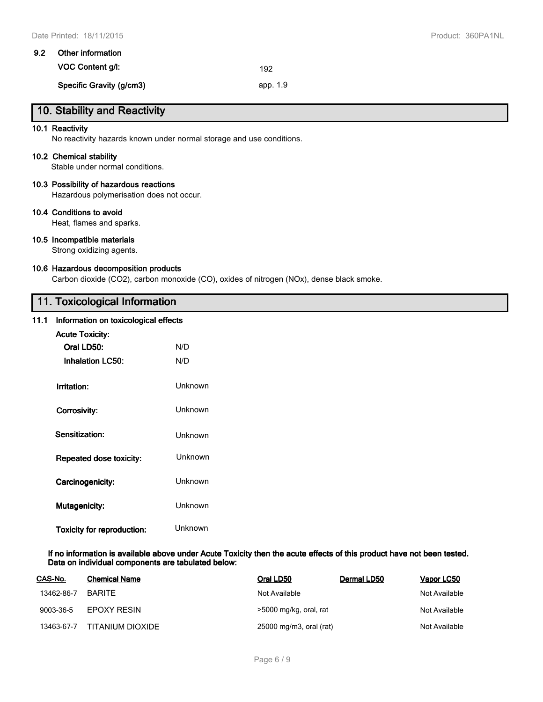| 9.2 Other information    |          |
|--------------------------|----------|
| VOC Content g/l:         | 192      |
| Specific Gravity (g/cm3) | app. 1.9 |

# **10. Stability and Reactivity**

#### **10.1 Reactivity**

No reactivity hazards known under normal storage and use conditions.

#### **10.2 Chemical stability**

Stable under normal conditions.

#### **10.3 Possibility of hazardous reactions**

Hazardous polymerisation does not occur.

#### **10.4 Conditions to avoid**

Heat, flames and sparks.

## **10.5 Incompatible materials**

Strong oxidizing agents.

#### **10.6 Hazardous decomposition products**

Carbon dioxide (CO2), carbon monoxide (CO), oxides of nitrogen (NOx), dense black smoke.

# **11. Toxicological Information**

#### **11.1 Information on toxicological effects**

| <b>Acute Toxicity:</b>            |         |  |  |  |
|-----------------------------------|---------|--|--|--|
| Oral LD50:                        | N/D     |  |  |  |
| <b>Inhalation LC50:</b>           | N/D     |  |  |  |
| Irritation:                       | Unknown |  |  |  |
| Corrosivity:                      | Unknown |  |  |  |
| Sensitization:                    | Unknown |  |  |  |
| Repeated dose toxicity:           | Unknown |  |  |  |
| Carcinogenicity:                  | Unknown |  |  |  |
| <b>Mutagenicity:</b>              | Unknown |  |  |  |
| <b>Toxicity for reproduction:</b> | Unknown |  |  |  |

**If no information is available above under Acute Toxicity then the acute effects of this product have not been tested. Data on individual components are tabulated below:**

| CAS-No.    | <b>Chemical Name</b> | Oral LD50               | Dermal LD50 | Vapor LC50    |
|------------|----------------------|-------------------------|-------------|---------------|
| 13462-86-7 | <b>BARITE</b>        | Not Available           |             | Not Available |
| 9003-36-5  | EPOXY RESIN          | >5000 mg/kg, oral, rat  |             | Not Available |
| 13463-67-7 | TITANIUM DIOXIDE     | 25000 mg/m3, oral (rat) |             | Not Available |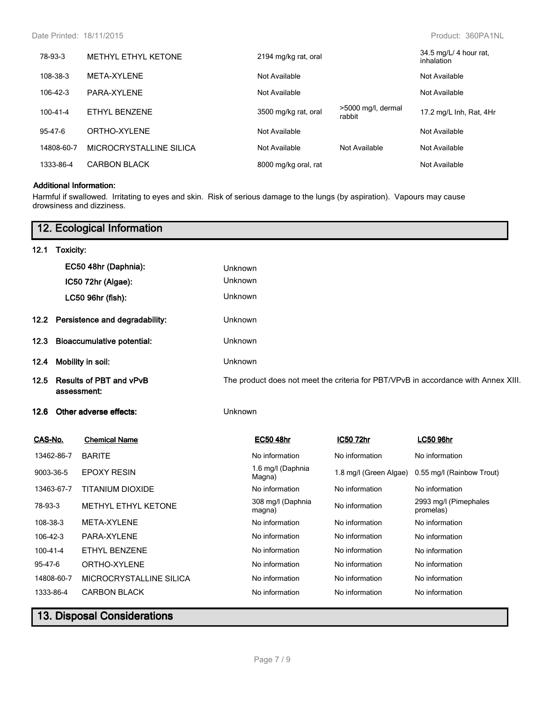| 78-93-3        | METHYL ETHYL KETONE     | 2194 mg/kg rat, oral |                              | 34.5 mg/L/ 4 hour rat,<br>inhalation |
|----------------|-------------------------|----------------------|------------------------------|--------------------------------------|
| 108-38-3       | META-XYLENE             | Not Available        |                              | Not Available                        |
| 106-42-3       | PARA-XYI FNF            | Not Available        |                              | Not Available                        |
| $100 - 41 - 4$ | ETHYL BENZENE           | 3500 mg/kg rat, oral | >5000 mg/l, dermal<br>rabbit | 17.2 mg/L Inh, Rat, 4Hr              |
| $95 - 47 - 6$  | ORTHO-XYLENE            | Not Available        |                              | Not Available                        |
| 14808-60-7     | MICROCRYSTALLINE SILICA | Not Available        | Not Available                | Not Available                        |
| 1333-86-4      | <b>CARBON BLACK</b>     | 8000 mg/kg oral, rat |                              | Not Available                        |

## **Additional Information:**

Harmful if swallowed. Irritating to eyes and skin. Risk of serious damage to the lungs (by aspiration). Vapours may cause drowsiness and dizziness.

|            |                                                                                          | 12. Ecological Information |         |                                                                                    |                        |                                    |  |
|------------|------------------------------------------------------------------------------------------|----------------------------|---------|------------------------------------------------------------------------------------|------------------------|------------------------------------|--|
| 12.1       | Toxicity:                                                                                |                            |         |                                                                                    |                        |                                    |  |
|            |                                                                                          | EC50 48hr (Daphnia):       | Unknown |                                                                                    |                        |                                    |  |
|            |                                                                                          | IC50 72hr (Algae):         | Unknown |                                                                                    |                        |                                    |  |
|            |                                                                                          | LC50 96hr (fish):          | Unknown |                                                                                    |                        |                                    |  |
| 12.2       | Persistence and degradability:<br><b>Bioaccumulative potential:</b><br>Mobility in soil: |                            |         | Unknown<br>Unknown<br>Unknown                                                      |                        |                                    |  |
| 12.3       |                                                                                          |                            |         |                                                                                    |                        |                                    |  |
| 12.4       |                                                                                          |                            |         |                                                                                    |                        |                                    |  |
| 12.5       | <b>Results of PBT and vPvB</b><br>assessment:                                            |                            |         | The product does not meet the criteria for PBT/VPvB in accordance with Annex XIII. |                        |                                    |  |
| 12.6       |                                                                                          | Other adverse effects:     | Unknown |                                                                                    |                        |                                    |  |
| CAS-No.    |                                                                                          | <b>Chemical Name</b>       |         | <b>EC50 48hr</b>                                                                   | IC50 72hr              | <b>LC50 96hr</b>                   |  |
| 13462-86-7 |                                                                                          | <b>BARITE</b>              |         | No information                                                                     | No information         | No information                     |  |
| 9003-36-5  |                                                                                          | <b>EPOXY RESIN</b>         |         | 1.6 mg/l (Daphnia<br>Magna)                                                        | 1.8 mg/l (Green Algae) | 0.55 mg/l (Rainbow Trout)          |  |
| 13463-67-7 |                                                                                          | <b>TITANIUM DIOXIDE</b>    |         | No information                                                                     | No information         | No information                     |  |
| 78-93-3    |                                                                                          | METHYL ETHYL KETONE        |         | 308 mg/l (Daphnia<br>magna)                                                        | No information         | 2993 mg/l (Pimephales<br>promelas) |  |
| 108-38-3   |                                                                                          | META-XYLENE                |         | No information                                                                     | No information         | No information                     |  |
| 106-42-3   |                                                                                          | PARA-XYLENE                |         | No information                                                                     | No information         | No information                     |  |
| 100-41-4   |                                                                                          | ETHYL BENZENE              |         | No information                                                                     | No information         | No information                     |  |
| 95-47-6    |                                                                                          | ORTHO-XYLENE               |         | No information                                                                     | No information         | No information                     |  |
| 14808-60-7 |                                                                                          | MICROCRYSTALLINE SILICA    |         | No information                                                                     | No information         | No information                     |  |
| 1333-86-4  |                                                                                          | <b>CARBON BLACK</b>        |         | No information                                                                     | No information         | No information                     |  |
|            |                                                                                          |                            |         |                                                                                    |                        |                                    |  |

# **13. Disposal Considerations**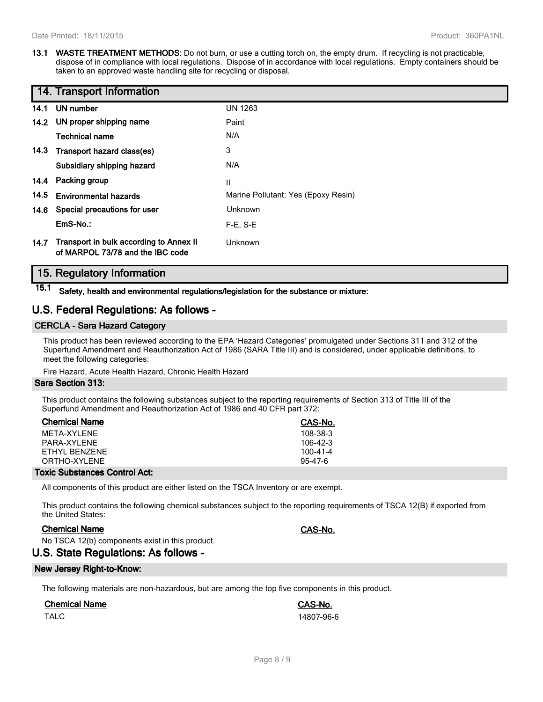**13.1 WASTE TREATMENT METHODS:** Do not burn, or use a cutting torch on, the empty drum. If recycling is not practicable, dispose of in compliance with local regulations. Dispose of in accordance with local regulations. Empty containers should be taken to an approved waste handling site for recycling or disposal.

|      | 14. Transport Information                                                   |                                     |
|------|-----------------------------------------------------------------------------|-------------------------------------|
| 14.1 | UN number                                                                   | <b>UN 1263</b>                      |
|      | 14.2 UN proper shipping name                                                | Paint                               |
|      | <b>Technical name</b>                                                       | N/A                                 |
|      | 14.3 Transport hazard class(es)                                             | 3                                   |
|      | Subsidiary shipping hazard                                                  | N/A                                 |
|      | 14.4 Packing group                                                          | Ш                                   |
| 14.5 | <b>Environmental hazards</b>                                                | Marine Pollutant: Yes (Epoxy Resin) |
|      | 14.6 Special precautions for user                                           | Unknown                             |
|      | EmS-No.:                                                                    | $F-E. S-E$                          |
| 14.7 | Transport in bulk according to Annex II<br>of MARPOL 73/78 and the IBC code | Unknown                             |

## **15. Regulatory Information**

**15.1 Safety, health and environmental regulations/legislation for the substance or mixture:**

## **U.S. Federal Regulations: As follows -**

## **CERCLA - Sara Hazard Category**

This product has been reviewed according to the EPA 'Hazard Categories' promulgated under Sections 311 and 312 of the Superfund Amendment and Reauthorization Act of 1986 (SARA Title III) and is considered, under applicable definitions, to meet the following categories:

Fire Hazard, Acute Health Hazard, Chronic Health Hazard

#### **Sara Section 313:**

This product contains the following substances subject to the reporting requirements of Section 313 of Title III of the Superfund Amendment and Reauthorization Act of 1986 and 40 CFR part 372:

| <b>Chemical Name</b> | CAS-No.        |
|----------------------|----------------|
| MFTA-XYI FNF         | 108-38-3       |
| PARA-XYI FNF         | $106-42-3$     |
| FTHYL BENZENE        | $100 - 41 - 4$ |
| ORTHO-XYI FNF        | $95-47-6$      |
|                      |                |

#### **Toxic Substances Control Act:**

All components of this product are either listed on the TSCA Inventory or are exempt.

This product contains the following chemical substances subject to the reporting requirements of TSCA 12(B) if exported from the United States:

## **Chemical Name CAS-No.**

No TSCA 12(b) components exist in this product.

## **U.S. State Regulations: As follows -**

#### **New Jersey Right-to-Know:**

The following materials are non-hazardous, but are among the top five components in this product.

## **Chemical Name CAS-No.**

TALC 14807-96-6